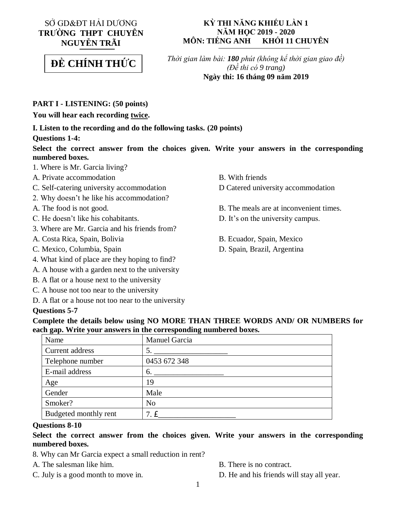## SỞ GD&ĐT HẢI DƯƠNG **TRƯỜNG THPT CHUYÊN NGUYỄN TRÃI**

#### **KỲ THI NĂNG KHIẾU LẦN 1 NĂM HỌC 2019 - 2020 MÔN: TIẾNG ANH KHỐI 11 CHUYÊN**

ĐỀ **ĐỀ CHÍNH THỨC**

*Thời gian làm bài: 180 phút (không kể thời gian giao đề) (Đề thi có 9 trang)* **Ngày thi: 16 tháng 09 năm 2019**

## **PART I - LISTENING: (50 points)**

**You will hear each recording twice.**

## **I. Listen to the recording and do the following tasks. (20 points)**

## **Questions 1-4:**

**Select the correct answer from the choices given. Write your answers in the corresponding numbered boxes.**

- 1. Where is Mr. Garcia living?
- A. Private accommodation
- C. Self-catering university accommodation D Catered university accommodation
- 2. Why doesn't he like his accommodation?
- 
- C. He doesn't like his cohabitants. D. It's on the university campus.
- 3. Where are Mr. Garcia and his friends from?
- A. Costa Rica, Spain, Bolivia B. Ecuador, Spain, Mexico
- C. Mexico, Columbia, Spain D. Spain, Brazil, Argentina
- 4. What kind of place are they hoping to find?
- A. A house with a garden next to the university
- B. A flat or a house next to the university
- C. A house not too near to the university
- D. A flat or a house not too near to the university

## **Questions 5-7**

| <b>B.</b> With friends |
|------------------------|
|                        |

- 
- A. The food is not good. B. The meals are at inconvenient times.
	-
	-
	-

### **Complete the details below using NO MORE THAN THREE WORDS AND/ OR NUMBERS for each gap. Write your answers in the corresponding numbered boxes.**

| Name                  | <b>Manuel Garcia</b> |
|-----------------------|----------------------|
| Current address       |                      |
| Telephone number      | 0453 672 348         |
| E-mail address        | 6.                   |
| Age                   | 19                   |
| Gender                | Male                 |
| Smoker?               | N <sub>o</sub>       |
| Budgeted monthly rent | 7 F                  |

## **Questions 8-10**

## **Select the correct answer from the choices given. Write your answers in the corresponding numbered boxes.**

- 8. Why can Mr Garcia expect a small reduction in rent?
- A. The salesman like him. B. There is no contract.
- 
- 
- C. July is a good month to move in. D. He and his friends will stay all year.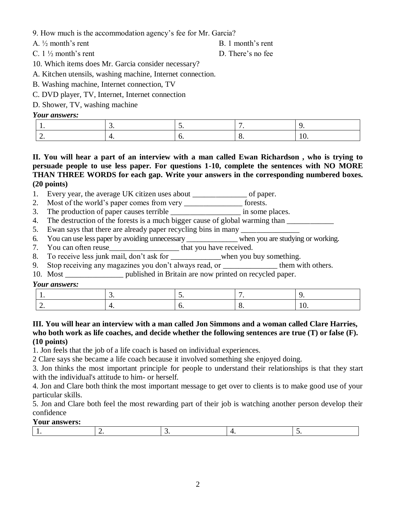9. How much is the accommodation agency's fee for Mr. Garcia?

A.  $\frac{1}{2}$  month's rent B. 1 month's rent

C.  $1\frac{1}{2}$  month's rent D. There's no fee

- 
- 10. Which items does Mr. Garcia consider necessary?
- A. Kitchen utensils, washing machine, Internet connection.
- B. Washing machine, Internet connection, TV
- C. DVD player, TV, Internet, Internet connection
- D. Shower, TV, washing machine

## *Your answers:*

| - |  |  |
|---|--|--|

**II. You will hear a part of an interview with a man called Ewan Richardson , who is trying to persuade people to use less paper. For questions 1-10, complete the sentences with NO MORE THAN THREE WORDS for each gap. Write your answers in the corresponding numbered boxes. (20 points)**

- 1. Every year, the average UK citizen uses about \_\_\_\_\_\_\_\_\_\_\_\_\_\_ of paper.
- 2. Most of the world's paper comes from very \_\_\_\_\_\_\_\_\_\_\_\_\_\_\_\_\_\_ forests.
- 3. The production of paper causes terrible \_\_\_\_\_\_\_\_\_\_\_\_\_\_\_\_\_\_\_\_\_ in some places.
- 4. The destruction of the forests is a much bigger cause of global warming than
- 5. Ewan says that there are already paper recycling bins in many
- 6. You can use less paper by avoiding unnecessary when you are studying or working.
- 7. You can often reuse\_\_\_\_\_\_\_\_\_\_\_\_\_\_\_\_\_\_ that you have received.
- 8. To receive less junk mail, don't ask for when you buy something.
- 9. Stop receiving any magazines you don't always read, or \_\_\_\_\_\_\_\_\_\_\_\_\_\_\_ them with others.
- 10. Most published in Britain are now printed on recycled paper.

## *Your answers:*

#### **III. You will hear an interview with a man called Jon Simmons and a woman called Clare Harries, who both work as life coaches, and decide whether the following sentences are true (T) or false (F). (10 points)**

1. Jon feels that the job of a life coach is based on individual experiences.

2 Clare says she became a life coach because it involved something she enjoyed doing.

3. Jon thinks the most important principle for people to understand their relationships is that they start with the individual's attitude to him- or herself.

4. Jon and Clare both think the most important message to get over to clients is to make good use of your particular skills.

5. Jon and Clare both feel the most rewarding part of their job is watching another person develop their confidence

## **Your answers:**

|--|--|--|--|--|--|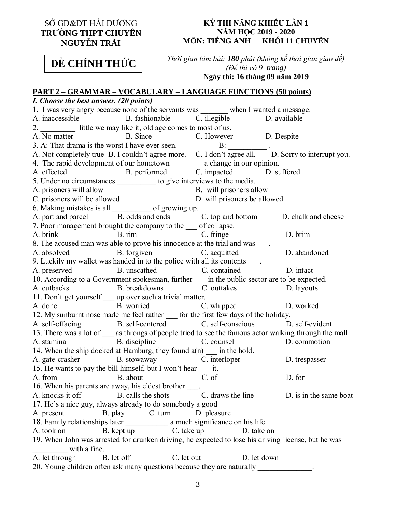## SỞ GD&ĐT HẢI DƯƠNG **TRƯỜNG THPT CHUYÊN NGUYỄN TRÃI**

## **KỲ THI NĂNG KHIẾU LẦN 1 NĂM HỌC 2019 - 2020 MÔN: TIẾNG ANH**

ĐỀ **ĐỀ CHÍNH THỨC**

*Thời gian làm bài: 180 phút (không kể thời gian giao đề) (Đề thi có 9 trang)* **Ngày thi: 16 tháng 09 năm 2019**

### **PART 2 – GRAMMAR – VOCABULARY – LANGUAGE FUNCTIONS (50 points)**

| I. Choose the best answer. (20 points) |                                                                                                                                                                                                                                      |                   |                                                                                                                                                      |
|----------------------------------------|--------------------------------------------------------------------------------------------------------------------------------------------------------------------------------------------------------------------------------------|-------------------|------------------------------------------------------------------------------------------------------------------------------------------------------|
|                                        | 1. I was very angry because none of the servants was _______ when I wanted a message.                                                                                                                                                |                   |                                                                                                                                                      |
|                                        | A. inaccessible B. fashionable C. illegible D. available                                                                                                                                                                             |                   |                                                                                                                                                      |
|                                        | 2. Iittle we may like it, old age comes to most of us.<br>A. No matter B. Since C. However D. Despite                                                                                                                                |                   |                                                                                                                                                      |
|                                        |                                                                                                                                                                                                                                      |                   |                                                                                                                                                      |
|                                        |                                                                                                                                                                                                                                      |                   | 3. A: That drama is the worst I have ever seen.<br>A. Not completely true B. I couldn't agree more. C. I don't agree all. D. Sorry to interrupt you. |
|                                        |                                                                                                                                                                                                                                      |                   |                                                                                                                                                      |
|                                        |                                                                                                                                                                                                                                      |                   |                                                                                                                                                      |
|                                        |                                                                                                                                                                                                                                      |                   |                                                                                                                                                      |
|                                        | 5. Under no circumstances ____________ to give interviews to the media.                                                                                                                                                              |                   |                                                                                                                                                      |
|                                        | A. prisoners will allow<br>C. prisoners will be allowed<br>D. will prisoners be allowed<br>D. will prisoners be allowed                                                                                                              |                   |                                                                                                                                                      |
|                                        |                                                                                                                                                                                                                                      |                   |                                                                                                                                                      |
|                                        | 6. Making mistakes is all ___________ of growing up.                                                                                                                                                                                 |                   |                                                                                                                                                      |
|                                        | A. part and parcel B. odds and ends C. top and bottom D. chalk and cheese                                                                                                                                                            |                   |                                                                                                                                                      |
|                                        | 7. Poor management brought the company to the __ of collapse.                                                                                                                                                                        |                   |                                                                                                                                                      |
| A. brink<br>B. rim                     |                                                                                                                                                                                                                                      | C. fringe D. brim |                                                                                                                                                      |
|                                        | 8. The accused man was able to prove his innocence at the trial and was ____.                                                                                                                                                        |                   |                                                                                                                                                      |
|                                        | A. absolved B. forgiven B. component at the trial and was ___.<br>B. forgiven C. acquitted D. abandoned<br>9. Luckily my wallet was banded in the district in the contract of the contract of the contract of the contract of the co |                   |                                                                                                                                                      |
|                                        | 9. Luckily my wallet was handed in to the police with all its contents ____.                                                                                                                                                         |                   |                                                                                                                                                      |
|                                        | 2. Lucking my want was nanued in to the police with an its contents ____.<br>A. preserved a B. unscathed C. contained D. intact                                                                                                      |                   |                                                                                                                                                      |
|                                        | 10. According to a Government spokesman, further ____ in the public sector are to be expected.                                                                                                                                       |                   |                                                                                                                                                      |
|                                        | A. cutbacks B. breakdowns C. outtakes D. layouts                                                                                                                                                                                     |                   |                                                                                                                                                      |
|                                        | 11. Don't get yourself ___ up over such a trivial matter.                                                                                                                                                                            |                   |                                                                                                                                                      |
|                                        |                                                                                                                                                                                                                                      |                   |                                                                                                                                                      |
|                                        | A. done B. worried C. whipped D. worked<br>12. My sunburnt nose made me feel rather <u>set of</u> for the first few days of the holiday.                                                                                             |                   |                                                                                                                                                      |
|                                        | A. self-effacing B. self-centered C. self-conscious D. self-evident                                                                                                                                                                  |                   |                                                                                                                                                      |
|                                        |                                                                                                                                                                                                                                      |                   | 13. There was a lot of __ as throngs of people tried to see the famous actor walking through the mall.                                               |
|                                        | A. stamina B. discipline C. counsel D. commotion                                                                                                                                                                                     |                   |                                                                                                                                                      |
|                                        | 14. When the ship docked at Hamburg, they found $a(n)$ in the hold.                                                                                                                                                                  |                   |                                                                                                                                                      |
|                                        | A. gate-crasher B. stowaway C. interloper D. trespasser                                                                                                                                                                              |                   |                                                                                                                                                      |
|                                        | 15. He wants to pay the bill himself, but I won't hear ____ it.                                                                                                                                                                      |                   |                                                                                                                                                      |
|                                        | A. from B. about C. of                                                                                                                                                                                                               |                   | D. for                                                                                                                                               |
|                                        | 16. When his parents are away, his eldest brother ____.                                                                                                                                                                              |                   |                                                                                                                                                      |
|                                        |                                                                                                                                                                                                                                      |                   | A. knocks it off B. calls the shots C. draws the line D. is in the same boat                                                                         |
|                                        | 17. He's a nice guy, always already to do somebody a good                                                                                                                                                                            |                   |                                                                                                                                                      |
|                                        | A. present B. play C. turn D. pleasure                                                                                                                                                                                               |                   |                                                                                                                                                      |
|                                        | 18. Family relationships later a much significance on his life<br>A. took on B. kept up C. take up D. take on                                                                                                                        |                   |                                                                                                                                                      |
|                                        |                                                                                                                                                                                                                                      |                   |                                                                                                                                                      |
|                                        | 19. When John was arrested for drunken driving, he expected to lose his driving license, but he was                                                                                                                                  |                   |                                                                                                                                                      |
| with a fine.                           |                                                                                                                                                                                                                                      |                   |                                                                                                                                                      |
|                                        | A. let through B. let off C. let out D. let down<br>20. Young shildren often selt many questions because thay are naturally                                                                                                          |                   |                                                                                                                                                      |
|                                        |                                                                                                                                                                                                                                      |                   |                                                                                                                                                      |

20. Young children often ask many questions because they are naturally \_\_\_\_\_\_\_\_\_\_\_\_\_\_.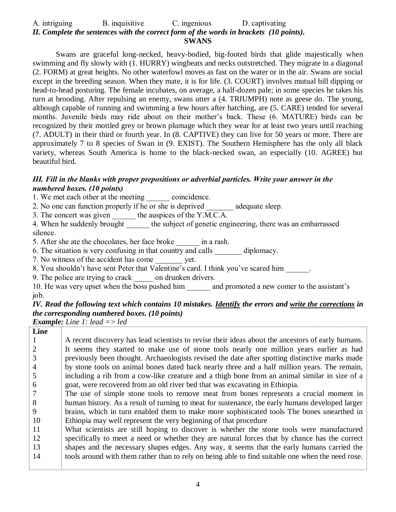#### A. intriguing B. inquisitive C. ingenious D. captivating *II. Complete the sentences with the correct form of the words in brackets (10 points).* **SWANS**

Swans are graceful long-necked, heavy-bodied, big-footed birds that glide majestically when swimming and fly slowly with (1. HURRY) wingbeats and necks outstretched. They migrate in a diagonal (2. FORM) at great heights. No other waterfowl moves as fast on the water or in the air. Swans are social except in the breeding season. When they mate, it is for life. (3. COURT) involves mutual bill dipping or head-to-head posturing. The female incubates, on average, a half-dozen pale; in some species he takes his turn at brooding. After repulsing an enemy, swans utter a (4. TRIUMPH) note as geese do. The young, although capable of running and swimming a few hours after hatching, are (5. CARE) tended for several months. Juvenile birds may ride about on their mother's back. These (6. MATURE) birds can be recognized by their mottled grey or brown plumage which they wear for at least two years until reaching (7. ADULT) in their third or fourth year. In (8. CAPTIVE) they can live for 50 years or more. There are approximately 7 to 8 species of Swan in (9. EXIST). The Southern Hemisphere has the only all black variety, whereas South America is home to the black-necked swan, an especially (10. AGREE) but beautiful bird.

#### *III. Fill in the blanks with proper prepositions or adverbial particles. Write your answer in the numbered boxes. (10 points)*

1. We met each other at the meeting \_\_\_\_\_\_ coincidence.

2. No one can function properly if he or she is deprived \_\_\_\_\_\_\_\_\_ adequate sleep.

3. The concert was given the auspices of the Y.M.C.A.

4. When he suddenly brought the subject of genetic engineering, there was an embarrassed silence.

5. After she ate the chocolates, her face broke \_\_\_\_\_\_ in a rash.

6. The situation is very confusing in that country and calls \_\_\_\_\_\_\_ diplomacy.

7. No witness of the accident has come yet.

8. You shouldn't have sent Peter that Valentine's card. I think you've scared him

9. The police are trying to crack on drunken drivers.

10. He was very upset when the boss pushed him and promoted a new comer to the assistant's job.

## *IV. Read the following text which contains 10 mistakes. Identify the errors and write the corrections in the corresponding numbered boxes. (10 points)*

*Example: Line 1: lead => led*

| Line           |                                                                                                   |
|----------------|---------------------------------------------------------------------------------------------------|
|                | A recent discovery has lead scientists to revise their ideas about the ancestors of early humans. |
|                | It seems they started to make use of stone tools nearly one million years earlier as had          |
| 3              | previously been thought. Archaeologists revised the date after spotting distinctive marks made    |
| $\overline{4}$ | by stone tools on animal bones dated back nearly three and a half million years. The remain,      |
| 5              | including a rib from a cow-like creature and a thigh bone from an animal similar in size of a     |
| -6             | goat, were recovered from an old river bed that was excavating in Ethiopia.                       |
|                | The use of simple stone tools to remove meat from bones represents a crucial moment in            |
| 8              | human history. As a result of turning to meat for sustenance, the early humans developed larger   |
| 9              | brains, which in turn enabled them to make more sophisticated tools The bones unearthed in        |
| <sup>10</sup>  | Ethiopia may well represent the very beginning of that procedure                                  |
| <sup>11</sup>  | What scientists are still hoping to discover is whether the stone tools were manufactured         |
| 12             | specifically to meet a need or whether they are natural forces that by chance has the correct     |
| 13             | shapes and the necessary shapes edges. Any way, it seems that the early humans carried the        |
| 14             | tools around with them rather than to rely on being able to find suitable one when the need rose. |
|                |                                                                                                   |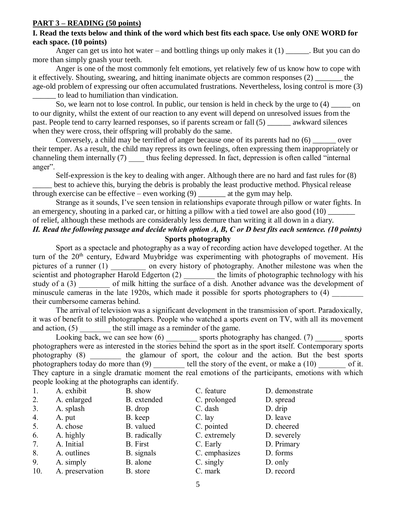#### **PART 3 – READING (50 points)**

### **I. Read the texts below and think of the word which best fits each space. Use only ONE WORD for each space. (10 points)**

Anger can get us into hot water – and bottling things up only makes it  $(1)$  . But you can do more than simply gnash your teeth.

Anger is one of the most commonly felt emotions, yet relatively few of us know how to cope with it effectively. Shouting, swearing, and hitting inanimate objects are common responses (2) the age-old problem of expressing our often accumulated frustrations. Nevertheless, losing control is more (3)

to lead to humiliation than vindication.

So, we learn not to lose control. In public, our tension is held in check by the urge to  $(4)$  on to our dignity, whilst the extent of our reaction to any event will depend on unresolved issues from the past. People tend to carry learned responses, so if parents scream or fall (5) \_\_\_\_\_\_ awkward silences when they were cross, their offspring will probably do the same.

Conversely, a child may be terrified of anger because one of its parents had no (6) over their temper. As a result, the child may repress its own feelings, often expressing them inappropriately or channeling them internally (7) thus feeling depressed. In fact, depression is often called "internal" anger".

Self-expression is the key to dealing with anger. Although there are no hard and fast rules for (8) best to achieve this, burying the debris is probably the least productive method. Physical release through exercise can be effective – even working  $(9)$   $\qquad$  at the gym may help.

Strange as it sounds, I've seen tension in relationships evaporate through pillow or water fights. In an emergency, shouting in a parked car, or hitting a pillow with a tied towel are also good (10)

of relief, although these methods are considerably less demure than writing it all down in a diary.

#### *II. Read the following passage and decide which option A, B, C or D best fits each sentence. (10 points)* **Sports photography**

Sport as a spectacle and photography as a way of recording action have developed together. At the turn of the  $20<sup>th</sup>$  century, Edward Muybridge was experimenting with photographs of movement. His pictures of a runner (1) on every history of photography. Another milestone was when the on every history of photography. Another milestone was when the scientist and photographer Harold Edgerton (2) the limits of photographic technology with his study of a  $(3)$  of milk hitting the surface of a dish. Another advance was the development of minuscule cameras in the late 1920s, which made it possible for sports photographers to (4) their cumbersome cameras behind.

The arrival of television was a significant development in the transmission of sport. Paradoxically, it was of benefit to still photographers. People who watched a sports event on TV, with all its movement and action,  $(5)$  the still image as a reminder of the game.

Looking back, we can see how (6) sports photography has changed. (7) sports photographers were as interested in the stories behind the sport as in the sport itself. Contemporary sports photography (8) \_\_\_\_\_\_\_\_ the glamour of sport, the colour and the action. But the best sports photographers today do more than (9) \_\_\_\_\_\_\_\_\_ tell the story of the event, or make a (10) \_\_\_\_\_\_\_ of it. They capture in a single dramatic moment the real emotions of the participants, emotions with which people looking at the photographs can identify.

| 1.  | A. exhibit      | B. show         | C. feature    | D. demonstrate |
|-----|-----------------|-----------------|---------------|----------------|
| 2.  | A. enlarged     | B. extended     | C. prolonged  | D. spread      |
| 3.  | A. splash       | B. drop         | C. dash       | D. drip        |
| 4.  | A. put          | B. keep         | C. lay        | D. leave       |
| 5.  | A. chose        | B. valued       | C. pointed    | D. cheered     |
| 6.  | A. highly       | B. radically    | C. extremely  | D. severely    |
| 7.  | A. Initial      | <b>B.</b> First | C. Early      | D. Primary     |
| 8.  | A. outlines     | B. signals      | C. emphasizes | D. forms       |
| 9.  | A. simply       | B. alone        | C. singly     | D. only        |
| 10. | A. preservation | B. store        | C. mark       | D. record      |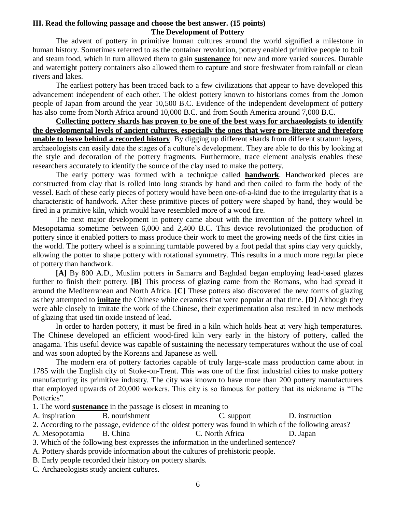#### **III. Read the following passage and choose the best answer. (15 points) The Development of Pottery**

The advent of pottery in primitive human cultures around the world signified a milestone in human history. Sometimes referred to as the container revolution, pottery enabled primitive people to boil and steam food, which in turn allowed them to gain **sustenance** for new and more varied sources. Durable and watertight pottery containers also allowed them to capture and store freshwater from rainfall or clean rivers and lakes.

The earliest pottery has been traced back to a few civilizations that appear to have developed this advancement independent of each other. The oldest pottery known to historians comes from the Jomon people of Japan from around the year 10,500 B.C. Evidence of the independent development of pottery has also come from North Africa around 10,000 B.C. and from South America around 7,000 B.C.

**Collecting pottery shards has proven to be one of the best ways for archaeologists to identify the developmental levels of ancient cultures, especially the ones that were pre-literate and therefore unable to leave behind a recorded history**. By digging up different shards from different stratum layers, archaeologists can easily date the stages of a culture's development. They are able to do this by looking at the style and decoration of the pottery fragments. Furthermore, trace element analysis enables these researchers accurately to identify the source of the clay used to make the pottery.

The early pottery was formed with a technique called **handwork**. Handworked pieces are constructed from clay that is rolled into long strands by hand and then coiled to form the body of the vessel. Each of these early pieces of pottery would have been one-of-a-kind due to the irregularity that is a characteristic of handwork. After these primitive pieces of pottery were shaped by hand, they would be fired in a primitive kiln, which would have resembled more of a wood fire.

The next major development in pottery came about with the invention of the pottery wheel in Mesopotamia sometime between 6,000 and 2,400 B.C. This device revolutionized the production of pottery since it enabled potters to mass produce their work to meet the growing needs of the first cities in the world. The pottery wheel is a spinning turntable powered by a foot pedal that spins clay very quickly, allowing the potter to shape pottery with rotational symmetry. This results in a much more regular piece of pottery than handwork.

**[A]** By 800 A.D., Muslim potters in Samarra and Baghdad began employing lead-based glazes further to finish their pottery. **[B]** This process of glazing came from the Romans, who had spread it around the Mediterranean and North Africa. **[C]** These potters also discovered the new forms of glazing as they attempted to **imitate** the Chinese white ceramics that were popular at that time. **[D]** Although they were able closely to imitate the work of the Chinese, their experimentation also resulted in new methods of glazing that used tin oxide instead of lead.

In order to harden pottery, it must be fired in a kiln which holds heat at very high temperatures. The Chinese developed an efficient wood-fired kiln very early in the history of pottery, called the anagama. This useful device was capable of sustaining the necessary temperatures without the use of coal and was soon adopted by the Koreans and Japanese as well.

The modern era of pottery factories capable of truly large-scale mass production came about in 1785 with the English city of Stoke-on-Trent. This was one of the first industrial cities to make pottery manufacturing its primitive industry. The city was known to have more than 200 pottery manufacturers that employed upwards of 20,000 workers. This city is so famous for pottery that its nickname is "The Potteries".

1. The word **sustenance** in the passage is closest in meaning to

A. inspiration B. nourishment C. support D. instruction

2. According to the passage, evidence of the oldest pottery was found in which of the following areas?

A. Mesopotamia B. China C. North Africa D. Japan

3. Which of the following best expresses the information in the underlined sentence?

A. Pottery shards provide information about the cultures of prehistoric people.

B. Early people recorded their history on pottery shards.

C. Archaeologists study ancient cultures.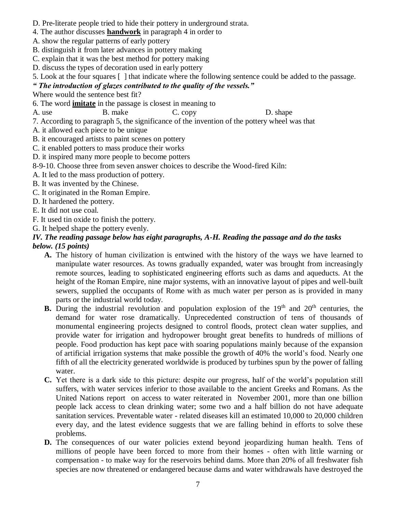- D. Pre-literate people tried to hide their pottery in underground strata.
- 4. The author discusses **handwork** in paragraph 4 in order to
- A. show the regular patterns of early pottery
- B. distinguish it from later advances in pottery making
- C. explain that it was the best method for pottery making
- D. discuss the types of decoration used in early pottery
- 5. Look at the four squares [ ] that indicate where the following sentence could be added to the passage.

## *" The introduction of glazes contributed to the quality of the vessels."*

Where would the sentence best fit?

- 6. The word **imitate** in the passage is closest in meaning to
- A. use B. make C. copy D. shape
- 7. According to paragraph 5, the significance of the invention of the pottery wheel was that
- A. it allowed each piece to be unique
- B. it encouraged artists to paint scenes on pottery
- C. it enabled potters to mass produce their works
- D. it inspired many more people to become potters
- 8-9-10. Choose three from seven answer choices to describe the Wood-fired Kiln:
- A. It led to the mass production of pottery.
- B. It was invented by the Chinese.
- C. It originated in the Roman Empire.
- D. It hardened the pottery.
- E. It did not use coal.
- F. It used tin oxide to finish the pottery.
- G. It helped shape the pottery evenly.

## *IV. The reading passage below has eight paragraphs, A-H. Reading the passage and do the tasks below. (15 points)*

- **A.** The history of human civilization is entwined with the history of the ways we have learned to manipulate water resources. As towns gradually expanded, water was brought from increasingly remote sources, leading to sophisticated engineering efforts such as dams and aqueducts. At the height of the Roman Empire, nine major systems, with an innovative layout of pipes and well-built sewers, supplied the occupants of Rome with as much water per person as is provided in many parts or the industrial world today.
- **B.** During the industrial revolution and population explosion of the  $19<sup>th</sup>$  and  $20<sup>th</sup>$  centuries, the demand for water rose dramatically. Unprecedented construction of tens of thousands of monumental engineering projects designed to control floods, protect clean water supplies, and provide water for irrigation and hydropower brought great benefits to hundreds of millions of people. Food production has kept pace with soaring populations mainly because of the expansion of artificial irrigation systems that make possible the growth of 40% the world's food. Nearly one fifth of all the electricity generated worldwide is produced by turbines spun by the power of falling water.
- **C.** Yet there is a dark side to this picture: despite our progress, half of the world's population still suffers, with water services inferior to those available to the ancient Greeks and Romans. As the United Nations report on access to water reiterated in November 2001, more than one billion people lack access to clean drinking water; some two and a half billion do not have adequate sanitation services. Preventable water - related diseases kill an estimated 10,000 to 20,000 children every day, and the latest evidence suggests that we are falling behind in efforts to solve these problems.
- **D.** The consequences of our water policies extend beyond jeopardizing human health. Tens of millions of people have been forced to more from their homes - often with little warning or compensation - to make way for the reservoirs behind dams. More than 20% of all freshwater fish species are now threatened or endangered because dams and water withdrawals have destroyed the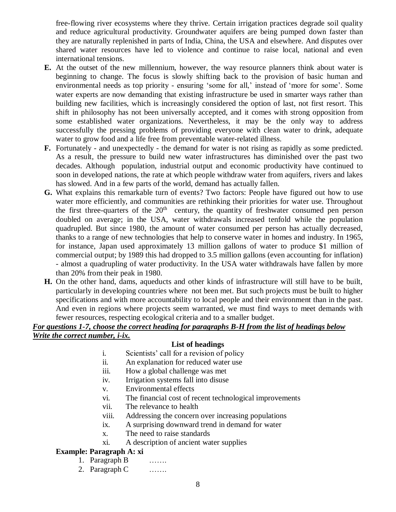free-flowing river ecosystems where they thrive. Certain irrigation practices degrade soil quality and reduce agricultural productivity. Groundwater aquifers are being pumped down faster than they are naturally replenished in parts of India, China, the USA and elsewhere. And disputes over shared water resources have led to violence and continue to raise local, national and even international tensions.

- **E.** At the outset of the new millennium, however, the way resource planners think about water is beginning to change. The focus is slowly shifting back to the provision of basic human and environmental needs as top priority - ensuring 'some for all,' instead of 'more for some'. Some water experts are now demanding that existing infrastructure be used in smarter ways rather than building new facilities, which is increasingly considered the option of last, not first resort. This shift in philosophy has not been universally accepted, and it comes with strong opposition from some established water organizations. Nevertheless, it may be the only way to address successfully the pressing problems of providing everyone with clean water to drink, adequate water to grow food and a life free from preventable water-related illness.
- **F.** Fortunately and unexpectedly the demand for water is not rising as rapidly as some predicted. As a result, the pressure to build new water infrastructures has diminished over the past two decades. Although population, industrial output and economic productivity have continued to soon in developed nations, the rate at which people withdraw water from aquifers, rivers and lakes has slowed. And in a few parts of the world, demand has actually fallen.
- **G.** What explains this remarkable turn of events? Two factors: People have figured out how to use water more efficiently, and communities are rethinking their priorities for water use. Throughout the first three-quarters of the  $20<sup>th</sup>$  century, the quantity of freshwater consumed pen person doubled on average; in the USA, water withdrawals increased tenfold while the population quadrupled. But since 1980, the amount of water consumed per person has actually decreased, thanks to a range of new technologies that help to conserve water in homes and industry. In 1965, for instance, Japan used approximately 13 million gallons of water to produce \$1 million of commercial output; by 1989 this had dropped to 3.5 million gallons (even accounting for inflation) - almost a quadrupling of water productivity. In the USA water withdrawals have fallen by more than 20% from their peak in 1980.
- **H.** On the other hand, dams, aqueducts and other kinds of infrastructure will still have to be built, particularly in developing countries where not been met. But such projects must be built to higher specifications and with more accountability to local people and their environment than in the past. And even in regions where projects seem warranted, we must find ways to meet demands with fewer resources, respecting ecological criteria and to a smaller budget.

## *For questions 1-7, choose the correct heading for paragraphs B-H from the list of headings below Write the correct number, i-ix.*

#### **List of headings**

- i. Scientists' call for a revision of policy
- ii. An explanation for reduced water use
- iii. How a global challenge was met
- iv. Irrigation systems fall into disuse
- v. Environmental effects
- vi. The financial cost of recent technological improvements
- vii. The relevance to health
- viii. Addressing the concern over increasing populations
- ix. A surprising downward trend in demand for water
- x. The need to raise standards
- xi. A description of ancient water supplies

## **Example: Paragraph A: xi**

- 1. Paragraph B …….
- 2. Paragraph C …….